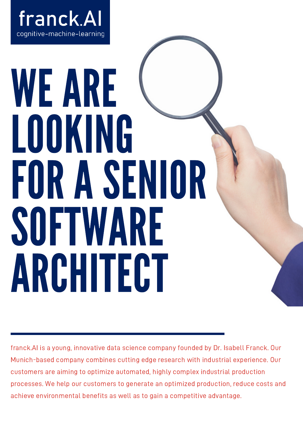

## WEARE LOOKING FORASENIOR SOFTWARE ARCHITECT

franck.AI is a young, innovative data science company founded by Dr. Isabell Franck. Our Munich-based company combines cutting edge research with industrial experience. Our customers are aiming to optimize automated, highly complex industrial production processes. We help our customers to generate an optimized production, reduce costs and achieve environmental benefits as well as to gain a competitive advantage.